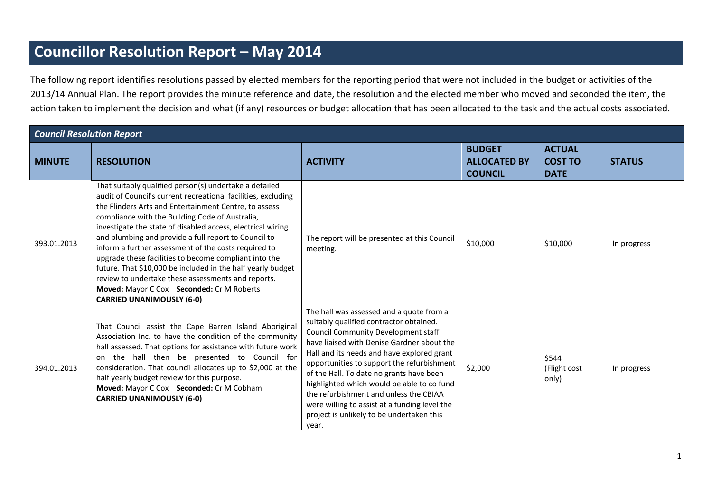## **Councillor Resolution Report – May 2014**

The following report identifies resolutions passed by elected members for the reporting period that were not included in the budget or activities of the 2013/14 Annual Plan. The report provides the minute reference and date, the resolution and the elected member who moved and seconded the item, the action taken to implement the decision and what (if any) resources or budget allocation that has been allocated to the task and the actual costs associated.

| <b>Council Resolution Report</b> |                                                                                                                                                                                                                                                                                                                                                                                                                                                                                                                                                                                                                                                                                   |                                                                                                                                                                                                                                                                                                                                                                                                                                                                                                                        |                                                        |                                                |               |
|----------------------------------|-----------------------------------------------------------------------------------------------------------------------------------------------------------------------------------------------------------------------------------------------------------------------------------------------------------------------------------------------------------------------------------------------------------------------------------------------------------------------------------------------------------------------------------------------------------------------------------------------------------------------------------------------------------------------------------|------------------------------------------------------------------------------------------------------------------------------------------------------------------------------------------------------------------------------------------------------------------------------------------------------------------------------------------------------------------------------------------------------------------------------------------------------------------------------------------------------------------------|--------------------------------------------------------|------------------------------------------------|---------------|
| <b>MINUTE</b>                    | <b>RESOLUTION</b>                                                                                                                                                                                                                                                                                                                                                                                                                                                                                                                                                                                                                                                                 | <b>ACTIVITY</b>                                                                                                                                                                                                                                                                                                                                                                                                                                                                                                        | <b>BUDGET</b><br><b>ALLOCATED BY</b><br><b>COUNCIL</b> | <b>ACTUAL</b><br><b>COST TO</b><br><b>DATE</b> | <b>STATUS</b> |
| 393.01.2013                      | That suitably qualified person(s) undertake a detailed<br>audit of Council's current recreational facilities, excluding<br>the Flinders Arts and Entertainment Centre, to assess<br>compliance with the Building Code of Australia,<br>investigate the state of disabled access, electrical wiring<br>and plumbing and provide a full report to Council to<br>inform a further assessment of the costs required to<br>upgrade these facilities to become compliant into the<br>future. That \$10,000 be included in the half yearly budget<br>review to undertake these assessments and reports.<br>Moved: Mayor C Cox Seconded: Cr M Roberts<br><b>CARRIED UNANIMOUSLY (6-0)</b> | The report will be presented at this Council<br>meeting.                                                                                                                                                                                                                                                                                                                                                                                                                                                               | \$10,000                                               | \$10,000                                       | In progress   |
| 394.01.2013                      | That Council assist the Cape Barren Island Aboriginal<br>Association Inc. to have the condition of the community<br>hall assessed. That options for assistance with future work<br>on the hall then be presented to Council for<br>consideration. That council allocates up to \$2,000 at the<br>half yearly budget review for this purpose.<br>Moved: Mayor C Cox Seconded: Cr M Cobham<br><b>CARRIED UNANIMOUSLY (6-0)</b>                                                                                                                                                                                                                                                      | The hall was assessed and a quote from a<br>suitably qualified contractor obtained.<br><b>Council Community Development staff</b><br>have liaised with Denise Gardner about the<br>Hall and its needs and have explored grant<br>opportunities to support the refurbishment<br>of the Hall. To date no grants have been<br>highlighted which would be able to co fund<br>the refurbishment and unless the CBIAA<br>were willing to assist at a funding level the<br>project is unlikely to be undertaken this<br>year. | \$2,000                                                | \$544<br>(Flight cost<br>only)                 | In progress   |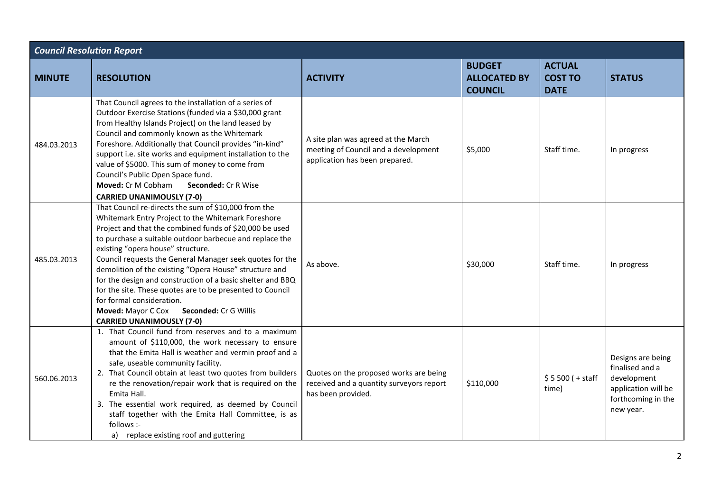| <b>Council Resolution Report</b> |                                                                                                                                                                                                                                                                                                                                                                                                                                                                                                                                                                                                                                               |                                                                                                               |                                                        |                                                |                                                                                                               |
|----------------------------------|-----------------------------------------------------------------------------------------------------------------------------------------------------------------------------------------------------------------------------------------------------------------------------------------------------------------------------------------------------------------------------------------------------------------------------------------------------------------------------------------------------------------------------------------------------------------------------------------------------------------------------------------------|---------------------------------------------------------------------------------------------------------------|--------------------------------------------------------|------------------------------------------------|---------------------------------------------------------------------------------------------------------------|
| <b>MINUTE</b>                    | <b>RESOLUTION</b>                                                                                                                                                                                                                                                                                                                                                                                                                                                                                                                                                                                                                             | <b>ACTIVITY</b>                                                                                               | <b>BUDGET</b><br><b>ALLOCATED BY</b><br><b>COUNCIL</b> | <b>ACTUAL</b><br><b>COST TO</b><br><b>DATE</b> | <b>STATUS</b>                                                                                                 |
| 484.03.2013                      | That Council agrees to the installation of a series of<br>Outdoor Exercise Stations (funded via a \$30,000 grant<br>from Healthy Islands Project) on the land leased by<br>Council and commonly known as the Whitemark<br>Foreshore. Additionally that Council provides "in-kind"<br>support i.e. site works and equipment installation to the<br>value of \$5000. This sum of money to come from<br>Council's Public Open Space fund.<br>Moved: Cr M Cobham<br>Seconded: Cr R Wise<br><b>CARRIED UNANIMOUSLY (7-0)</b>                                                                                                                       | A site plan was agreed at the March<br>meeting of Council and a development<br>application has been prepared. | \$5,000                                                | Staff time.                                    | In progress                                                                                                   |
| 485.03.2013                      | That Council re-directs the sum of \$10,000 from the<br>Whitemark Entry Project to the Whitemark Foreshore<br>Project and that the combined funds of \$20,000 be used<br>to purchase a suitable outdoor barbecue and replace the<br>existing "opera house" structure.<br>Council requests the General Manager seek quotes for the<br>demolition of the existing "Opera House" structure and<br>for the design and construction of a basic shelter and BBQ<br>for the site. These quotes are to be presented to Council<br>for formal consideration.<br>Seconded: Cr G Willis<br><b>Moved: Mayor C Cox</b><br><b>CARRIED UNANIMOUSLY (7-0)</b> | As above.                                                                                                     | \$30,000                                               | Staff time.                                    | In progress                                                                                                   |
| 560.06.2013                      | 1. That Council fund from reserves and to a maximum<br>amount of \$110,000, the work necessary to ensure<br>that the Emita Hall is weather and vermin proof and a<br>safe, useable community facility.<br>2. That Council obtain at least two quotes from builders<br>re the renovation/repair work that is required on the<br>Emita Hall.<br>3. The essential work required, as deemed by Council<br>staff together with the Emita Hall Committee, is as<br>follows :-<br>replace existing roof and guttering<br>a)                                                                                                                          | Quotes on the proposed works are being<br>received and a quantity surveyors report<br>has been provided.      | \$110,000                                              | $$5500 (+ statf)$<br>time)                     | Designs are being<br>finalised and a<br>development<br>application will be<br>forthcoming in the<br>new year. |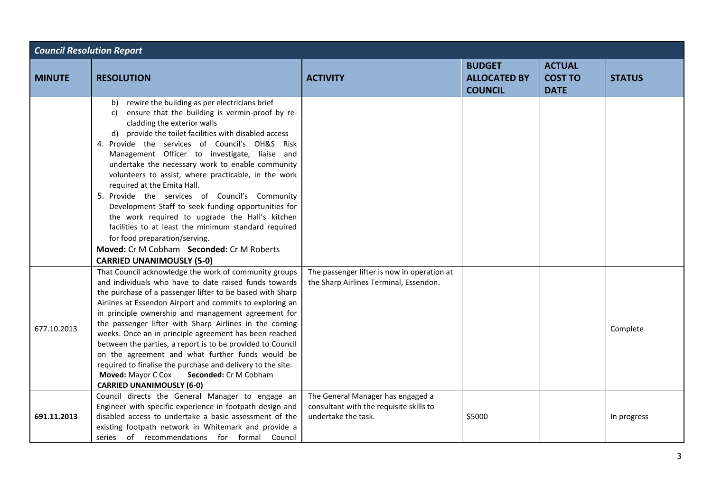| <b>Council Resolution Report</b> |                                                                                                                                                                                                                                                                                                                                                                                                                                                                                                                                                                                                                                                                                                                                                                                             |                                                                                                     |                                                        |                                                |               |
|----------------------------------|---------------------------------------------------------------------------------------------------------------------------------------------------------------------------------------------------------------------------------------------------------------------------------------------------------------------------------------------------------------------------------------------------------------------------------------------------------------------------------------------------------------------------------------------------------------------------------------------------------------------------------------------------------------------------------------------------------------------------------------------------------------------------------------------|-----------------------------------------------------------------------------------------------------|--------------------------------------------------------|------------------------------------------------|---------------|
| <b>MINUTE</b>                    | <b>RESOLUTION</b>                                                                                                                                                                                                                                                                                                                                                                                                                                                                                                                                                                                                                                                                                                                                                                           | <b>ACTIVITY</b>                                                                                     | <b>BUDGET</b><br><b>ALLOCATED BY</b><br><b>COUNCIL</b> | <b>ACTUAL</b><br><b>COST TO</b><br><b>DATE</b> | <b>STATUS</b> |
|                                  | rewire the building as per electricians brief<br>b)<br>ensure that the building is vermin-proof by re-<br>C)<br>cladding the exterior walls<br>provide the toilet facilities with disabled access<br>d)<br>4. Provide the services of Council's OH&S Risk<br>Management Officer to investigate, liaise and<br>undertake the necessary work to enable community<br>volunteers to assist, where practicable, in the work<br>required at the Emita Hall.<br>5. Provide the services of Council's Community<br>Development Staff to seek funding opportunities for<br>the work required to upgrade the Hall's kitchen<br>facilities to at least the minimum standard required<br>for food preparation/serving.<br>Moved: Cr M Cobham Seconded: Cr M Roberts<br><b>CARRIED UNANIMOUSLY (5-0)</b> |                                                                                                     |                                                        |                                                |               |
| 677.10.2013                      | That Council acknowledge the work of community groups<br>and individuals who have to date raised funds towards<br>the purchase of a passenger lifter to be based with Sharp<br>Airlines at Essendon Airport and commits to exploring an<br>in principle ownership and management agreement for<br>the passenger lifter with Sharp Airlines in the coming<br>weeks. Once an in principle agreement has been reached<br>between the parties, a report is to be provided to Council<br>on the agreement and what further funds would be<br>required to finalise the purchase and delivery to the site.<br>Moved: Mayor C Cox<br>Seconded: Cr M Cobham<br><b>CARRIED UNANIMOUSLY (6-0)</b>                                                                                                      | The passenger lifter is now in operation at<br>the Sharp Airlines Terminal, Essendon.               |                                                        |                                                | Complete      |
| 691.11.2013                      | Council directs the General Manager to engage an<br>Engineer with specific experience in footpath design and<br>disabled access to undertake a basic assessment of the<br>existing footpath network in Whitemark and provide a<br>series of recommendations for formal Council                                                                                                                                                                                                                                                                                                                                                                                                                                                                                                              | The General Manager has engaged a<br>consultant with the requisite skills to<br>undertake the task. | \$5000                                                 |                                                | In progress   |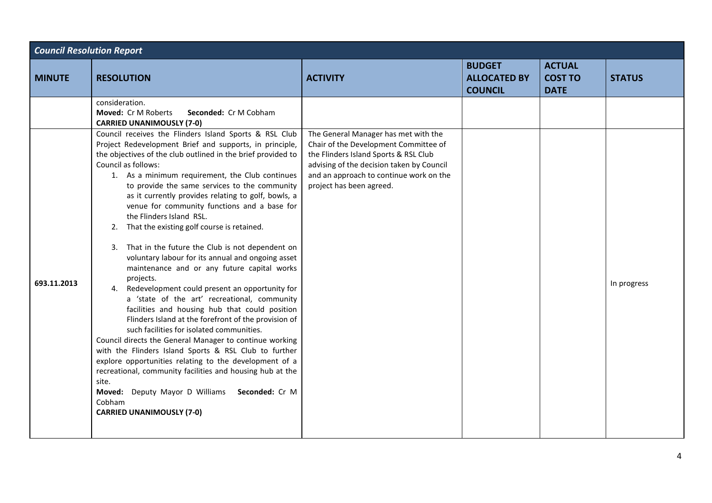| <b>Council Resolution Report</b> |                                                                                                                                                                                                                                                                                                                                                                                                                                                                                                                                                                                                                                                                                                                                                                                                                                                                                                                                                                                                                                                                                                                                                                                                                                                                                              |                                                                                                                                                                                                                                            |                                                        |                                                |               |  |
|----------------------------------|----------------------------------------------------------------------------------------------------------------------------------------------------------------------------------------------------------------------------------------------------------------------------------------------------------------------------------------------------------------------------------------------------------------------------------------------------------------------------------------------------------------------------------------------------------------------------------------------------------------------------------------------------------------------------------------------------------------------------------------------------------------------------------------------------------------------------------------------------------------------------------------------------------------------------------------------------------------------------------------------------------------------------------------------------------------------------------------------------------------------------------------------------------------------------------------------------------------------------------------------------------------------------------------------|--------------------------------------------------------------------------------------------------------------------------------------------------------------------------------------------------------------------------------------------|--------------------------------------------------------|------------------------------------------------|---------------|--|
| <b>MINUTE</b>                    | <b>RESOLUTION</b>                                                                                                                                                                                                                                                                                                                                                                                                                                                                                                                                                                                                                                                                                                                                                                                                                                                                                                                                                                                                                                                                                                                                                                                                                                                                            | <b>ACTIVITY</b>                                                                                                                                                                                                                            | <b>BUDGET</b><br><b>ALLOCATED BY</b><br><b>COUNCIL</b> | <b>ACTUAL</b><br><b>COST TO</b><br><b>DATE</b> | <b>STATUS</b> |  |
|                                  | consideration.<br>Moved: Cr M Roberts<br>Seconded: Cr M Cobham<br><b>CARRIED UNANIMOUSLY (7-0)</b>                                                                                                                                                                                                                                                                                                                                                                                                                                                                                                                                                                                                                                                                                                                                                                                                                                                                                                                                                                                                                                                                                                                                                                                           |                                                                                                                                                                                                                                            |                                                        |                                                |               |  |
| 693.11.2013                      | Council receives the Flinders Island Sports & RSL Club<br>Project Redevelopment Brief and supports, in principle,<br>the objectives of the club outlined in the brief provided to<br>Council as follows:<br>1. As a minimum requirement, the Club continues<br>to provide the same services to the community<br>as it currently provides relating to golf, bowls, a<br>venue for community functions and a base for<br>the Flinders Island RSL.<br>That the existing golf course is retained.<br>2.<br>3. That in the future the Club is not dependent on<br>voluntary labour for its annual and ongoing asset<br>maintenance and or any future capital works<br>projects.<br>4. Redevelopment could present an opportunity for<br>a 'state of the art' recreational, community<br>facilities and housing hub that could position<br>Flinders Island at the forefront of the provision of<br>such facilities for isolated communities.<br>Council directs the General Manager to continue working<br>with the Flinders Island Sports & RSL Club to further<br>explore opportunities relating to the development of a<br>recreational, community facilities and housing hub at the<br>site.<br>Deputy Mayor D Williams Seconded: Cr M<br>Moved:<br>Cobham<br><b>CARRIED UNANIMOUSLY (7-0)</b> | The General Manager has met with the<br>Chair of the Development Committee of<br>the Flinders Island Sports & RSL Club<br>advising of the decision taken by Council<br>and an approach to continue work on the<br>project has been agreed. |                                                        |                                                | In progress   |  |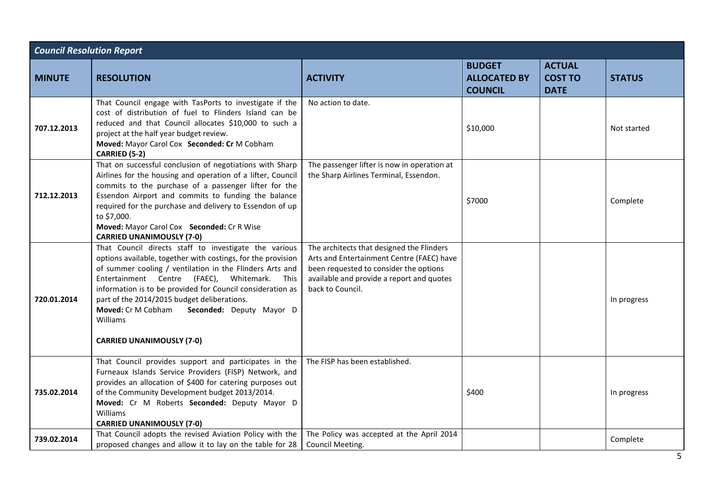| <b>Council Resolution Report</b> |                                                                                                                                                                                                                                                                                                                                                                                                                                                     |                                                                                                                                                                                                   |                                                        |                                                |               |  |
|----------------------------------|-----------------------------------------------------------------------------------------------------------------------------------------------------------------------------------------------------------------------------------------------------------------------------------------------------------------------------------------------------------------------------------------------------------------------------------------------------|---------------------------------------------------------------------------------------------------------------------------------------------------------------------------------------------------|--------------------------------------------------------|------------------------------------------------|---------------|--|
| <b>MINUTE</b>                    | <b>RESOLUTION</b>                                                                                                                                                                                                                                                                                                                                                                                                                                   | <b>ACTIVITY</b>                                                                                                                                                                                   | <b>BUDGET</b><br><b>ALLOCATED BY</b><br><b>COUNCIL</b> | <b>ACTUAL</b><br><b>COST TO</b><br><b>DATE</b> | <b>STATUS</b> |  |
| 707.12.2013                      | That Council engage with TasPorts to investigate if the<br>cost of distribution of fuel to Flinders Island can be<br>reduced and that Council allocates \$10,000 to such a<br>project at the half year budget review.<br>Moved: Mayor Carol Cox Seconded: Cr M Cobham<br>CARRIED (5-2)                                                                                                                                                              | No action to date.                                                                                                                                                                                | \$10,000                                               |                                                | Not started   |  |
| 712.12.2013                      | That on successful conclusion of negotiations with Sharp<br>Airlines for the housing and operation of a lifter, Council<br>commits to the purchase of a passenger lifter for the<br>Essendon Airport and commits to funding the balance<br>required for the purchase and delivery to Essendon of up<br>to \$7,000.<br>Moved: Mayor Carol Cox Seconded: Cr R Wise<br><b>CARRIED UNANIMOUSLY (7-0)</b>                                                | The passenger lifter is now in operation at<br>the Sharp Airlines Terminal, Essendon.                                                                                                             | \$7000                                                 |                                                | Complete      |  |
| 720.01.2014                      | That Council directs staff to investigate the various<br>options available, together with costings, for the provision<br>of summer cooling / ventilation in the Flinders Arts and<br>Entertainment Centre (FAEC), Whitemark.<br>This<br>information is to be provided for Council consideration as<br>part of the 2014/2015 budget deliberations.<br>Moved: Cr M Cobham<br>Seconded: Deputy Mayor D<br>Williams<br><b>CARRIED UNANIMOUSLY (7-0)</b> | The architects that designed the Flinders<br>Arts and Entertainment Centre (FAEC) have<br>been requested to consider the options<br>available and provide a report and quotes<br>back to Council. |                                                        |                                                | In progress   |  |
| 735.02.2014                      | That Council provides support and participates in the<br>Furneaux Islands Service Providers (FISP) Network, and<br>provides an allocation of \$400 for catering purposes out<br>of the Community Development budget 2013/2014.<br>Moved: Cr M Roberts Seconded: Deputy Mayor D<br>Williams<br><b>CARRIED UNANIMOUSLY (7-0)</b>                                                                                                                      | The FISP has been established.                                                                                                                                                                    | \$400                                                  |                                                | In progress   |  |
| 739.02.2014                      | That Council adopts the revised Aviation Policy with the<br>proposed changes and allow it to lay on the table for 28                                                                                                                                                                                                                                                                                                                                | The Policy was accepted at the April 2014<br>Council Meeting.                                                                                                                                     |                                                        |                                                | Complete      |  |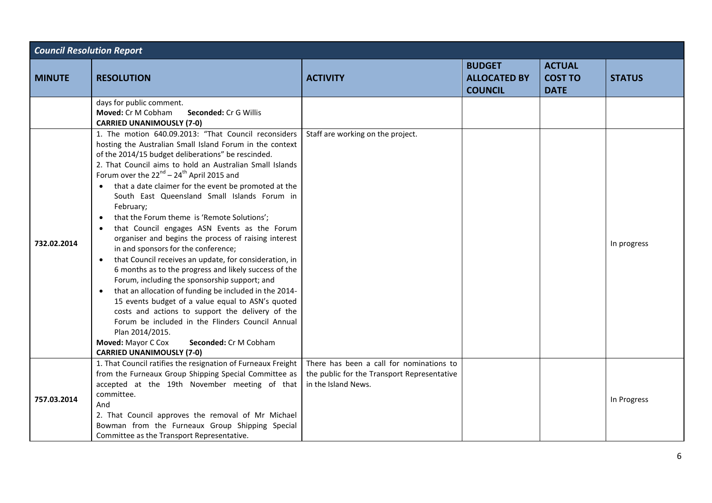| <b>Council Resolution Report</b> |                                                                                                                                                                                                                                                                                                                                                                                                                                                                                                                                                                                                                                                                                                                                                                                                                                                                                                                                                                                                                                                                                                                                                        |                                                                                                                |                                                        |                                                |               |
|----------------------------------|--------------------------------------------------------------------------------------------------------------------------------------------------------------------------------------------------------------------------------------------------------------------------------------------------------------------------------------------------------------------------------------------------------------------------------------------------------------------------------------------------------------------------------------------------------------------------------------------------------------------------------------------------------------------------------------------------------------------------------------------------------------------------------------------------------------------------------------------------------------------------------------------------------------------------------------------------------------------------------------------------------------------------------------------------------------------------------------------------------------------------------------------------------|----------------------------------------------------------------------------------------------------------------|--------------------------------------------------------|------------------------------------------------|---------------|
| <b>MINUTE</b>                    | <b>RESOLUTION</b>                                                                                                                                                                                                                                                                                                                                                                                                                                                                                                                                                                                                                                                                                                                                                                                                                                                                                                                                                                                                                                                                                                                                      | <b>ACTIVITY</b>                                                                                                | <b>BUDGET</b><br><b>ALLOCATED BY</b><br><b>COUNCIL</b> | <b>ACTUAL</b><br><b>COST TO</b><br><b>DATE</b> | <b>STATUS</b> |
|                                  | days for public comment.<br>Moved: Cr M Cobham<br><b>Seconded: Cr G Willis</b><br><b>CARRIED UNANIMOUSLY (7-0)</b>                                                                                                                                                                                                                                                                                                                                                                                                                                                                                                                                                                                                                                                                                                                                                                                                                                                                                                                                                                                                                                     |                                                                                                                |                                                        |                                                |               |
| 732.02.2014                      | 1. The motion 640.09.2013: "That Council reconsiders<br>hosting the Australian Small Island Forum in the context<br>of the 2014/15 budget deliberations" be rescinded.<br>2. That Council aims to hold an Australian Small Islands<br>Forum over the $22^{nd}$ – $24^{th}$ April 2015 and<br>• that a date claimer for the event be promoted at the<br>South East Queensland Small Islands Forum in<br>February;<br>that the Forum theme is 'Remote Solutions';<br>$\bullet$<br>that Council engages ASN Events as the Forum<br>organiser and begins the process of raising interest<br>in and sponsors for the conference;<br>that Council receives an update, for consideration, in<br>$\bullet$<br>6 months as to the progress and likely success of the<br>Forum, including the sponsorship support; and<br>that an allocation of funding be included in the 2014-<br>$\bullet$<br>15 events budget of a value equal to ASN's quoted<br>costs and actions to support the delivery of the<br>Forum be included in the Flinders Council Annual<br>Plan 2014/2015.<br>Moved: Mayor C Cox<br>Seconded: Cr M Cobham<br><b>CARRIED UNANIMOUSLY (7-0)</b> | Staff are working on the project.                                                                              |                                                        |                                                | In progress   |
| 757.03.2014                      | 1. That Council ratifies the resignation of Furneaux Freight<br>from the Furneaux Group Shipping Special Committee as<br>accepted at the 19th November meeting of that<br>committee.<br>And<br>2. That Council approves the removal of Mr Michael<br>Bowman from the Furneaux Group Shipping Special<br>Committee as the Transport Representative.                                                                                                                                                                                                                                                                                                                                                                                                                                                                                                                                                                                                                                                                                                                                                                                                     | There has been a call for nominations to<br>the public for the Transport Representative<br>in the Island News. |                                                        |                                                | In Progress   |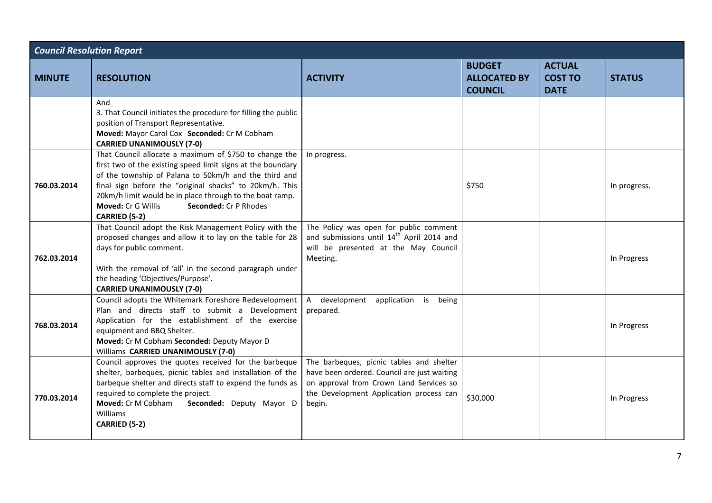| <b>Council Resolution Report</b> |                                                                                                                                                                                                                                                                                                                                                                              |                                                                                                                                                                                         |                                                        |                                                |               |
|----------------------------------|------------------------------------------------------------------------------------------------------------------------------------------------------------------------------------------------------------------------------------------------------------------------------------------------------------------------------------------------------------------------------|-----------------------------------------------------------------------------------------------------------------------------------------------------------------------------------------|--------------------------------------------------------|------------------------------------------------|---------------|
| <b>MINUTE</b>                    | <b>RESOLUTION</b>                                                                                                                                                                                                                                                                                                                                                            | <b>ACTIVITY</b>                                                                                                                                                                         | <b>BUDGET</b><br><b>ALLOCATED BY</b><br><b>COUNCIL</b> | <b>ACTUAL</b><br><b>COST TO</b><br><b>DATE</b> | <b>STATUS</b> |
|                                  | And<br>3. That Council initiates the procedure for filling the public<br>position of Transport Representative.<br>Moved: Mayor Carol Cox Seconded: Cr M Cobham<br><b>CARRIED UNANIMOUSLY (7-0)</b>                                                                                                                                                                           |                                                                                                                                                                                         |                                                        |                                                |               |
| 760.03.2014                      | That Council allocate a maximum of \$750 to change the<br>first two of the existing speed limit signs at the boundary<br>of the township of Palana to 50km/h and the third and<br>final sign before the "original shacks" to 20km/h. This<br>20km/h limit would be in place through to the boat ramp.<br>Seconded: Cr P Rhodes<br>Moved: Cr G Willis<br><b>CARRIED (5-2)</b> | In progress.                                                                                                                                                                            | \$750                                                  |                                                | In progress.  |
| 762.03.2014                      | That Council adopt the Risk Management Policy with the<br>proposed changes and allow it to lay on the table for 28<br>days for public comment.<br>With the removal of 'all' in the second paragraph under<br>the heading 'Objectives/Purpose'.<br><b>CARRIED UNANIMOUSLY (7-0)</b>                                                                                           | The Policy was open for public comment<br>and submissions until 14 <sup>th</sup> April 2014 and<br>will be presented at the May Council<br>Meeting.                                     |                                                        |                                                | In Progress   |
| 768.03.2014                      | Council adopts the Whitemark Foreshore Redevelopment<br>Plan and directs staff to submit a Development<br>Application for the establishment of the exercise<br>equipment and BBQ Shelter.<br>Moved: Cr M Cobham Seconded: Deputy Mayor D<br>Williams CARRIED UNANIMOUSLY (7-0)                                                                                               | A development application is<br>being<br>prepared.                                                                                                                                      |                                                        |                                                | In Progress   |
| 770.03.2014                      | Council approves the quotes received for the barbeque<br>shelter, barbeques, picnic tables and installation of the<br>barbeque shelter and directs staff to expend the funds as<br>required to complete the project.<br>Seconded: Deputy Mayor D<br>Moved: Cr M Cobham<br>Williams<br>CARRIED (5-2)                                                                          | The barbeques, picnic tables and shelter<br>have been ordered. Council are just waiting<br>on approval from Crown Land Services so<br>the Development Application process can<br>begin. | \$30,000                                               |                                                | In Progress   |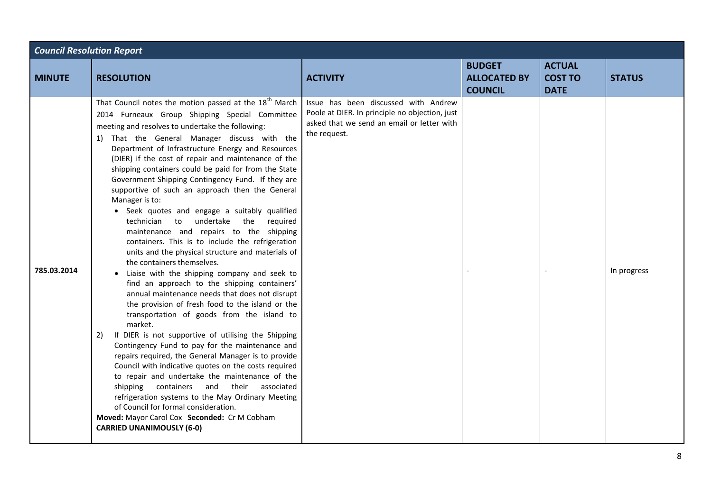| <b>Council Resolution Report</b> |                                                                                                                                                                                                                                                                                                                                                                                                                                                                                                                                                                                                                                                                                                                                                                                                                                                                                                                                                                                                                                                                                                                                                                                                                                                                                                                                                                                                                                                                                                                                                                                                     |                                                                                                                                                      |                                                        |                                                |               |  |
|----------------------------------|-----------------------------------------------------------------------------------------------------------------------------------------------------------------------------------------------------------------------------------------------------------------------------------------------------------------------------------------------------------------------------------------------------------------------------------------------------------------------------------------------------------------------------------------------------------------------------------------------------------------------------------------------------------------------------------------------------------------------------------------------------------------------------------------------------------------------------------------------------------------------------------------------------------------------------------------------------------------------------------------------------------------------------------------------------------------------------------------------------------------------------------------------------------------------------------------------------------------------------------------------------------------------------------------------------------------------------------------------------------------------------------------------------------------------------------------------------------------------------------------------------------------------------------------------------------------------------------------------------|------------------------------------------------------------------------------------------------------------------------------------------------------|--------------------------------------------------------|------------------------------------------------|---------------|--|
| <b>MINUTE</b>                    | <b>RESOLUTION</b>                                                                                                                                                                                                                                                                                                                                                                                                                                                                                                                                                                                                                                                                                                                                                                                                                                                                                                                                                                                                                                                                                                                                                                                                                                                                                                                                                                                                                                                                                                                                                                                   | <b>ACTIVITY</b>                                                                                                                                      | <b>BUDGET</b><br><b>ALLOCATED BY</b><br><b>COUNCIL</b> | <b>ACTUAL</b><br><b>COST TO</b><br><b>DATE</b> | <b>STATUS</b> |  |
| 785.03.2014                      | That Council notes the motion passed at the 18 <sup>th</sup> March<br>2014 Furneaux Group Shipping Special Committee<br>meeting and resolves to undertake the following:<br>1) That the General Manager discuss with the<br>Department of Infrastructure Energy and Resources<br>(DIER) if the cost of repair and maintenance of the<br>shipping containers could be paid for from the State<br>Government Shipping Contingency Fund. If they are<br>supportive of such an approach then the General<br>Manager is to:<br>• Seek quotes and engage a suitably qualified<br>undertake<br>the required<br>technician<br>to<br>maintenance and repairs to the shipping<br>containers. This is to include the refrigeration<br>units and the physical structure and materials of<br>the containers themselves.<br>Liaise with the shipping company and seek to<br>find an approach to the shipping containers'<br>annual maintenance needs that does not disrupt<br>the provision of fresh food to the island or the<br>transportation of goods from the island to<br>market.<br>If DIER is not supportive of utilising the Shipping<br>2)<br>Contingency Fund to pay for the maintenance and<br>repairs required, the General Manager is to provide<br>Council with indicative quotes on the costs required<br>to repair and undertake the maintenance of the<br>containers<br>their<br>shipping<br>and<br>associated<br>refrigeration systems to the May Ordinary Meeting<br>of Council for formal consideration.<br>Moved: Mayor Carol Cox Seconded: Cr M Cobham<br><b>CARRIED UNANIMOUSLY (6-0)</b> | Issue has been discussed with Andrew<br>Poole at DIER. In principle no objection, just<br>asked that we send an email or letter with<br>the request. |                                                        |                                                | In progress   |  |